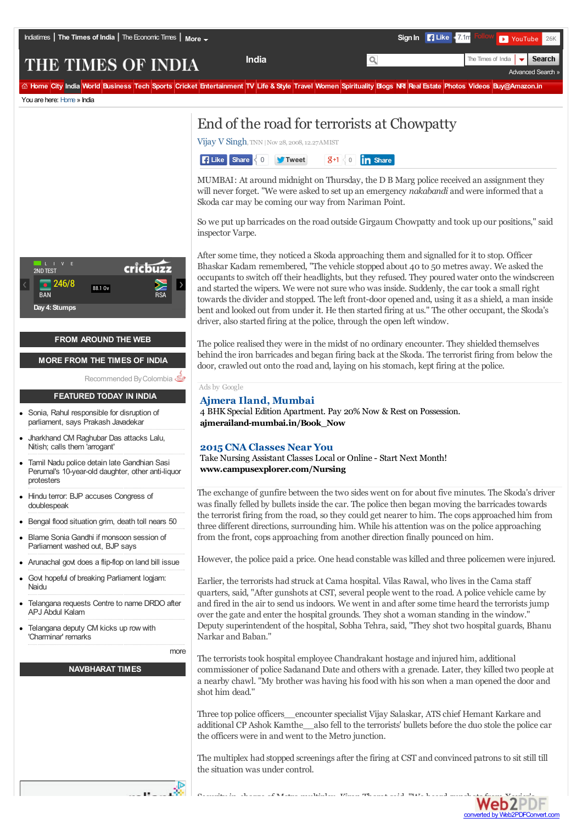Advanced Search »

Search

# THE TIMES OF INDIA

time City India World Business Tech Sports Cricket Entertainment TV Life & Style Travel Women Spirituality Blogs NR Real Estate Photos Videos Buy@Amazon.in

You are here: Home » India



## **FROM AROUND THE WEB**

## **MORE FROM THE TIMES OF INDIA**

Recommended By Colombia

#### **FEATURED TODAY IN INDIA**

- Sonia, Rahul responsible for disruption of  $\bullet$ parliament, says Prakash Javadekar
- Jharkhand CM Raghubar Das attacks Lalu, Nitish; calls them 'arrogant'
- Tamil Nadu police detain late Gandhian Sasi Perumal's 10-year-old daughter, other anti-liquor protesters
- Hindu terror: BJP accuses Congress of doublespeak
- Bengal flood situation grim, death toll nears 50
- Blame Sonia Gandhi if monsoon session of Parliament washed out, BJP says
- Arunachal govt does a flip-flop on land bill issue
- Govt hopeful of breaking Parliament logjam: Naidu  $\bullet$
- Telangana requests Centre to name DRDO after APJ Abdul Kalam
- Telangana deputy CM kicks up row with 'Charminar' remarks

more

# **NAVBHARAT TIMES**



Vijay V Singh, TNN |Nov 28, 2008,12.27AMIST



MUMBAI: At around midnight on Thursday, the D B Marg police received an assignment they will never forget. "We were asked to set up an emergency *nakabandi* andwere informed that a Skoda car may be coming our way from Nariman Point.

**India** The Times of India

So we put up barricades on the road outside Girgaum Chowpatty and took up our positions,'' said inspector Varpe.

After some time, they noticed a Skoda approaching them and signalled for it to stop. Officer Bhaskar Kadam remembered, "The vehicle stopped about 40 to 50 metres away. We asked the occupants to switch off their headlights, but they refused. They poured water onto the windscreen and started the wipers. We were not sure who was inside. Suddenly, the car took a small right towards the divider and stopped. The left front-door opened and, using it as a shield, a man inside bent and looked out from under it. He then started firing at us.'' The other occupant, the Skoda's driver, also started firing at the police, through the open left window.

The police realised they were in the midst of no ordinary encounter. They shielded themselves behind the iron barricades and began firing back at the Skoda. The terrorist firing from below the door, crawled out onto the road and, laying on his stomach, kept firing at the police.

Ads by Google

# **Ajmera Iland, Mumbai**

4 BHK Special Edition Apartment. Pay 20% Now & Rest on Possession. **ajmerailand-mumbai.in/Book\_Now**

## **2015 CNA Classes Near You**

Take Nursing Assistant Classes Local or Online - Start Next Month! **www.campusexplorer.com/Nursing**

The exchange of gunfire between the two sides went on for about five minutes. The Skoda's driver was finally felled by bullets inside the car. The police then began moving the barricades towards the terrorist firing from the road, so they could get nearer to him. The cops approached him from three different directions, surrounding him. While his attention was on the police approaching from the front, cops approaching from another direction finally pounced on him.

However, the police paid a price. One head constable was killed and three policemen were injured.

Earlier, the terrorists had struck at Cama hospital. Vilas Rawal, who lives in the Cama staff quarters, said, "After gunshots at CST, several people went to the road. A police vehicle came by and fired in the air to send usindoors. We went in and after some time heard the terroristsjump over the gate and enter the hospital grounds. They shot a woman standing in the window.'' Deputy superintendent of the hospital, Sobha Tehra, said, "They shot two hospital guards, Bhanu Narkar and Baban.''

The terrorists took hospital employee Chandrakant hostage and injured him, additional commissioner of police SadanandDate and others with a grenade. Later, they killed two people at a nearby chawl. "My brother was having hisfoodwith hisson when a man opened the door and shot him dead.''

Three top police officers\_\_encounter specialist Vijay Salaskar, ATS chief Hemant Karkare and additional CP Ashok Kamthe\_\_also fell to the terrorists' bullets before the duo stole the police car the officers were in andwent to the Metro junction.

The multiplex had stopped screenings after the firing at CST and convinced patronsto sit still till the situation was under control.



Security in-charge of Metro multiplex, Kiran Thomas Security in Metro  $\mathsf{Web2P}{}$